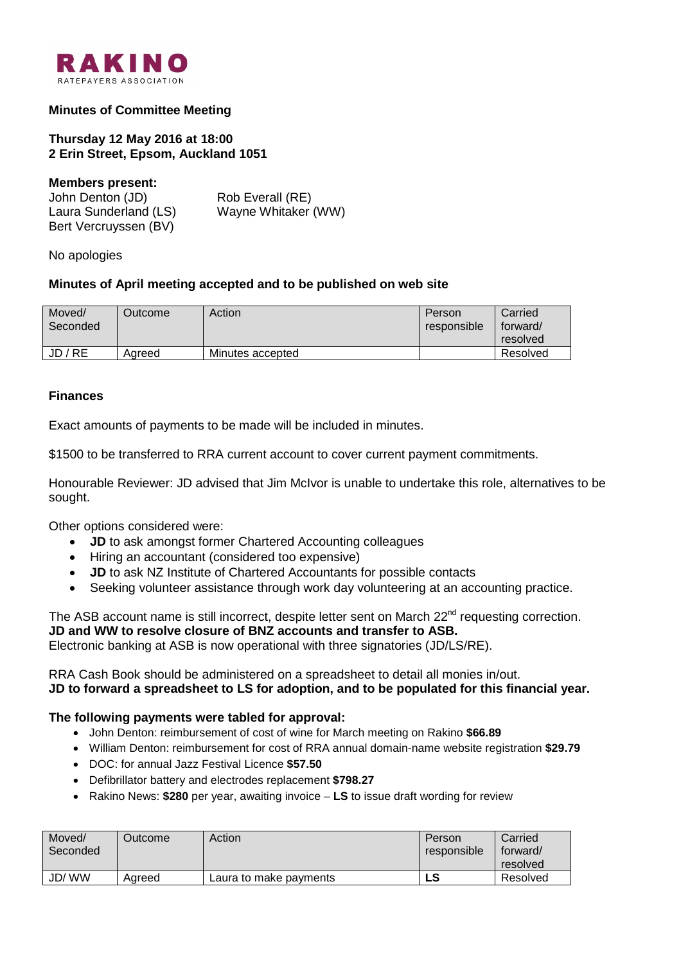

# **Minutes of Committee Meeting**

**Thursday 12 May 2016 at 18:00 2 Erin Street, Epsom, Auckland 1051**

#### **Members present:**

| John Denton (JD)      | Rob Everall (RE)    |
|-----------------------|---------------------|
| Laura Sunderland (LS) | Wayne Whitaker (WW) |
| Bert Vercruyssen (BV) |                     |

No apologies

### **Minutes of April meeting accepted and to be published on web site**

| Moved/<br>Seconded | <b>Dutcome</b> | Action           | Person<br>responsible | Carried<br>forward/<br>resolved |
|--------------------|----------------|------------------|-----------------------|---------------------------------|
| JD / RE            | Agreed         | Minutes accepted |                       | Resolved                        |

### **Finances**

Exact amounts of payments to be made will be included in minutes.

\$1500 to be transferred to RRA current account to cover current payment commitments.

Honourable Reviewer: JD advised that Jim McIvor is unable to undertake this role, alternatives to be sought.

Other options considered were:

- **JD** to ask amongst former Chartered Accounting colleagues
- Hiring an accountant (considered too expensive)
- **JD** to ask NZ Institute of Chartered Accountants for possible contacts
- Seeking volunteer assistance through work day volunteering at an accounting practice.

The ASB account name is still incorrect, despite letter sent on March  $22<sup>nd</sup>$  requesting correction. **JD and WW to resolve closure of BNZ accounts and transfer to ASB.** Electronic banking at ASB is now operational with three signatories (JD/LS/RE).

RRA Cash Book should be administered on a spreadsheet to detail all monies in/out. **JD to forward a spreadsheet to LS for adoption, and to be populated for this financial year.**

### **The following payments were tabled for approval:**

- John Denton: reimbursement of cost of wine for March meeting on Rakino **\$66.89**
- William Denton: reimbursement for cost of RRA annual domain-name website registration **\$29.79**
- DOC: for annual Jazz Festival Licence **\$57.50**
- Defibrillator battery and electrodes replacement **\$798.27**
- Rakino News: **\$280** per year, awaiting invoice **LS** to issue draft wording for review

| Moved/<br>Seconded | Outcome <sup>-</sup> | Action                 | Person<br>responsible | Carried<br>forward/<br>resolved |
|--------------------|----------------------|------------------------|-----------------------|---------------------------------|
| JD/WW              | Aareed               | Laura to make payments | LS                    | Resolved                        |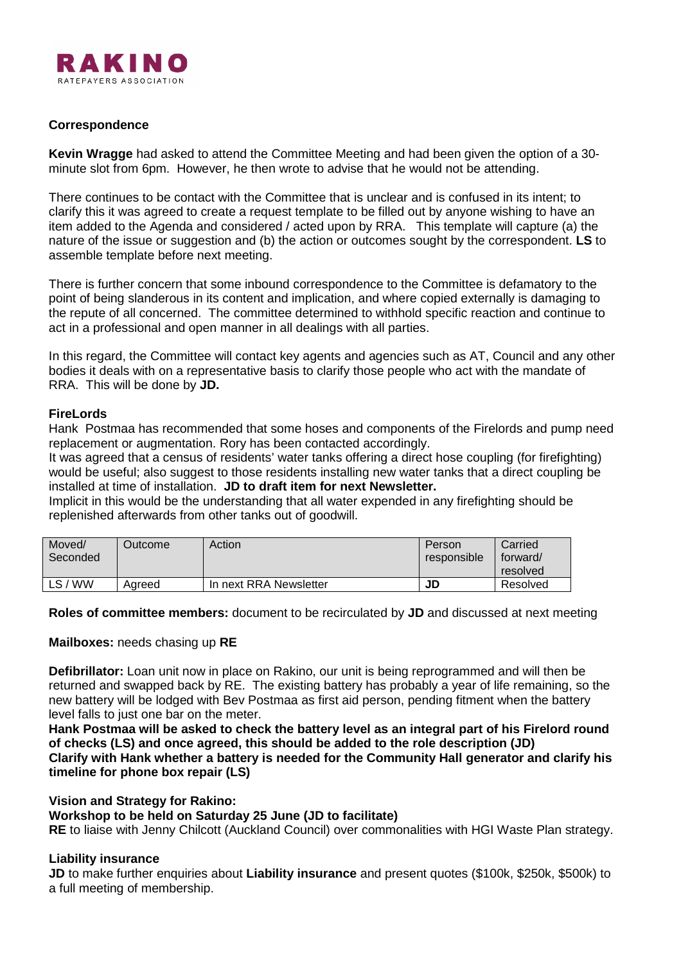

### **Correspondence**

**Kevin Wragge** had asked to attend the Committee Meeting and had been given the option of a 30 minute slot from 6pm. However, he then wrote to advise that he would not be attending.

There continues to be contact with the Committee that is unclear and is confused in its intent; to clarify this it was agreed to create a request template to be filled out by anyone wishing to have an item added to the Agenda and considered / acted upon by RRA. This template will capture (a) the nature of the issue or suggestion and (b) the action or outcomes sought by the correspondent. **LS** to assemble template before next meeting.

There is further concern that some inbound correspondence to the Committee is defamatory to the point of being slanderous in its content and implication, and where copied externally is damaging to the repute of all concerned. The committee determined to withhold specific reaction and continue to act in a professional and open manner in all dealings with all parties.

In this regard, the Committee will contact key agents and agencies such as AT, Council and any other bodies it deals with on a representative basis to clarify those people who act with the mandate of RRA. This will be done by **JD.**

### **FireLords**

Hank Postmaa has recommended that some hoses and components of the Firelords and pump need replacement or augmentation. Rory has been contacted accordingly.

It was agreed that a census of residents' water tanks offering a direct hose coupling (for firefighting) would be useful; also suggest to those residents installing new water tanks that a direct coupling be installed at time of installation. **JD to draft item for next Newsletter.**

Implicit in this would be the understanding that all water expended in any firefighting should be replenished afterwards from other tanks out of goodwill.

| Moved/<br>Seconded | <b>Dutcome</b> | Action                 | Person<br>responsible | Carried<br>torward/<br>resolved |
|--------------------|----------------|------------------------|-----------------------|---------------------------------|
| <b>WW</b><br>LS/   | Aareed         | In next RRA Newsletter | JD                    | Resolved                        |

**Roles of committee members:** document to be recirculated by **JD** and discussed at next meeting

### **Mailboxes:** needs chasing up **RE**

**Defibrillator:** Loan unit now in place on Rakino, our unit is being reprogrammed and will then be returned and swapped back by RE. The existing battery has probably a year of life remaining, so the new battery will be lodged with Bev Postmaa as first aid person, pending fitment when the battery level falls to just one bar on the meter.

**Hank Postmaa will be asked to check the battery level as an integral part of his Firelord round of checks (LS) and once agreed, this should be added to the role description (JD) Clarify with Hank whether a battery is needed for the Community Hall generator and clarify his timeline for phone box repair (LS)**

**Vision and Strategy for Rakino:** 

### **Workshop to be held on Saturday 25 June (JD to facilitate)**

**RE** to liaise with Jenny Chilcott (Auckland Council) over commonalities with HGI Waste Plan strategy.

### **Liability insurance**

**JD** to make further enquiries about **Liability insurance** and present quotes (\$100k, \$250k, \$500k) to a full meeting of membership.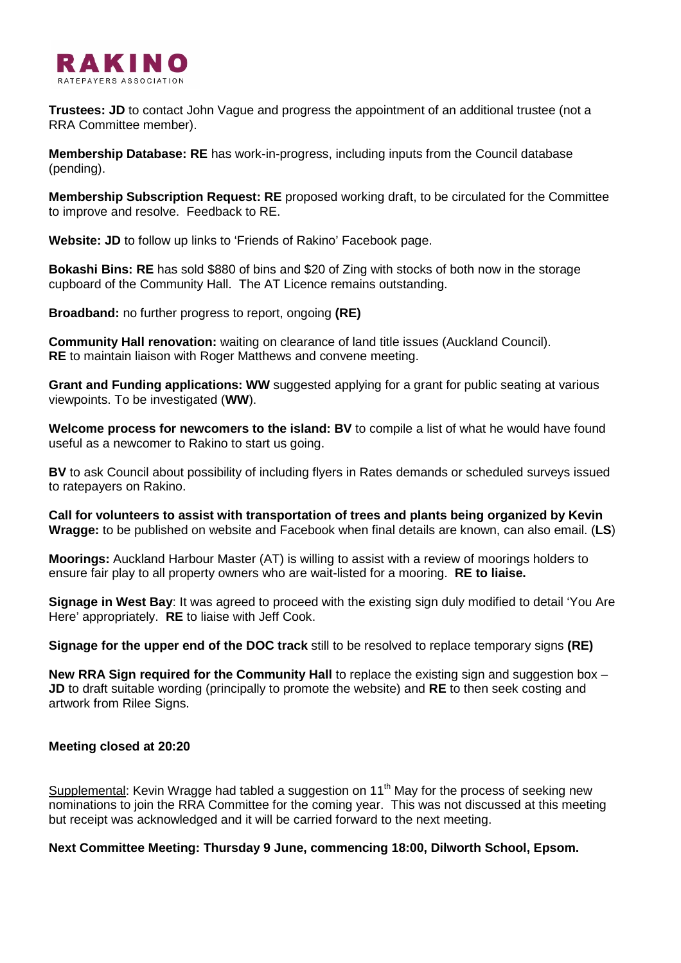

**Trustees: JD** to contact John Vague and progress the appointment of an additional trustee (not a RRA Committee member).

**Membership Database: RE** has work-in-progress, including inputs from the Council database (pending).

**Membership Subscription Request: RE** proposed working draft, to be circulated for the Committee to improve and resolve. Feedback to RE.

**Website: JD** to follow up links to 'Friends of Rakino' Facebook page.

**Bokashi Bins: RE** has sold \$880 of bins and \$20 of Zing with stocks of both now in the storage cupboard of the Community Hall. The AT Licence remains outstanding.

**Broadband:** no further progress to report, ongoing **(RE)**

**Community Hall renovation:** waiting on clearance of land title issues (Auckland Council). **RE** to maintain liaison with Roger Matthews and convene meeting.

**Grant and Funding applications: WW** suggested applying for a grant for public seating at various viewpoints. To be investigated (**WW**).

**Welcome process for newcomers to the island: BV** to compile a list of what he would have found useful as a newcomer to Rakino to start us going.

**BV** to ask Council about possibility of including flyers in Rates demands or scheduled surveys issued to ratepayers on Rakino.

**Call for volunteers to assist with transportation of trees and plants being organized by Kevin Wragge:** to be published on website and Facebook when final details are known, can also email. (**LS**)

**Moorings:** Auckland Harbour Master (AT) is willing to assist with a review of moorings holders to ensure fair play to all property owners who are wait-listed for a mooring. **RE to liaise.**

**Signage in West Bay**: It was agreed to proceed with the existing sign duly modified to detail 'You Are Here' appropriately. **RE** to liaise with Jeff Cook.

**Signage for the upper end of the DOC track** still to be resolved to replace temporary signs **(RE)**

**New RRA Sign required for the Community Hall** to replace the existing sign and suggestion box – **JD** to draft suitable wording (principally to promote the website) and **RE** to then seek costing and artwork from Rilee Signs.

## **Meeting closed at 20:20**

Supplemental: Kevin Wragge had tabled a suggestion on  $11<sup>th</sup>$  May for the process of seeking new nominations to join the RRA Committee for the coming year. This was not discussed at this meeting but receipt was acknowledged and it will be carried forward to the next meeting.

### **Next Committee Meeting: Thursday 9 June, commencing 18:00, Dilworth School, Epsom.**